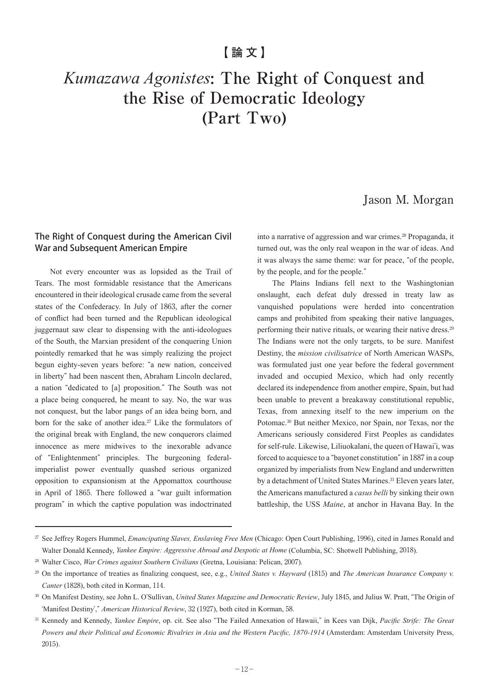# *Kumazawa Agonistes***: The Right of Conquest and the Rise of Democratic Ideology (Part Two)**

# Jason M. Morgan

## The Right of Conquest during the American Civil War and Subsequent American Empire

Not every encounter was as lopsided as the Trail of Tears. The most formidable resistance that the Americans encountered in their ideological crusade came from the several states of the Confederacy. In July of 1863, after the corner of conflict had been turned and the Republican ideological juggernaut saw clear to dispensing with the anti-ideologues of the South, the Marxian president of the conquering Union pointedly remarked that he was simply realizing the project begun eighty-seven years before: "a new nation, conceived in liberty" had been nascent then, Abraham Lincoln declared, a nation "dedicated to [a] proposition." The South was not a place being conquered, he meant to say. No, the war was not conquest, but the labor pangs of an idea being born, and born for the sake of another idea.<sup>27</sup> Like the formulators of the original break with England, the new conquerors claimed innocence as mere midwives to the inexorable advance of "Enlightenment" principles. The burgeoning federalimperialist power eventually quashed serious organized opposition to expansionism at the Appomattox courthouse in April of 1865. There followed a "war guilt information program" in which the captive population was indoctrinated

into a narrative of aggression and war crimes.<sup>28</sup> Propaganda, it turned out, was the only real weapon in the war of ideas. And it was always the same theme: war for peace, "of the people, by the people, and for the people."

The Plains Indians fell next to the Washingtonian onslaught, each defeat duly dressed in treaty law as vanquished populations were herded into concentration camps and prohibited from speaking their native languages, performing their native rituals, or wearing their native dress.<sup>29</sup> The Indians were not the only targets, to be sure. Manifest Destiny, the *mission civilisatrice* of North American WASPs, was formulated just one year before the federal government invaded and occupied Mexico, which had only recently declared its independence from another empire, Spain, but had been unable to prevent a breakaway constitutional republic, Texas, from annexing itself to the new imperium on the Potomac.30 But neither Mexico, nor Spain, nor Texas, nor the Americans seriously considered First Peoples as candidates for self-rule. Likewise, Liliuokalani, the queen of Hawai'i, was forced to acquiesce to a "bayonet constitution" in 1887 in a coup organized by imperialists from New England and underwritten by a detachment of United States Marines.<sup>31</sup> Eleven years later, the Americans manufactured a *casus belli* by sinking their own battleship, the USS *Maine*, at anchor in Havana Bay. In the

<sup>27</sup> See Jeffrey Rogers Hummel, *Emancipating Slaves, Enslaving Free Men* (Chicago: Open Court Publishing, 1996), cited in James Ronald and Walter Donald Kennedy, *Yankee Empire: Aggressive Abroad and Despotic at Home* (Columbia, SC: Shotwell Publishing, 2018).

<sup>28</sup> Walter Cisco, *War Crimes against Southern Civilians* (Gretna, Louisiana: Pelican, 2007).

<sup>29</sup> On the importance of treaties as finalizing conquest, see, e.g., *United States v. Hayward* (1815) and *The American Insurance Company v. Canter* (1828), both cited in Korman, 114.

<sup>30</sup> On Manifest Destiny, see John L. O'Sullivan, *United States Magazine and Democratic Review*, July 1845, and Julius W. Pratt, "The Origin of ʻManifest Destiny'," *American Historical Review*, 32 (1927), both cited in Korman, 58.

<sup>31</sup> Kennedy and Kennedy, *Yankee Empire*, op. cit. See also "The Failed Annexation of Hawaii," in Kees van Dijk, *Pacific Strife: The Great Powers and their Political and Economic Rivalries in Asia and the Western Pacific, 1870-1914* (Amsterdam: Amsterdam University Press, 2015).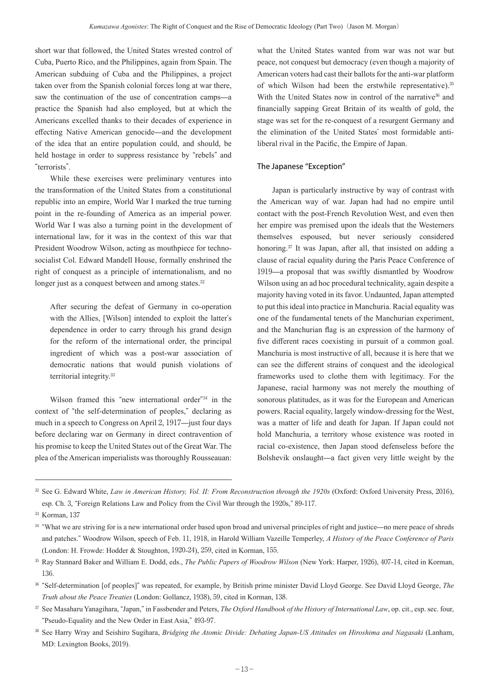short war that followed, the United States wrested control of Cuba, Puerto Rico, and the Philippines, again from Spain. The American subduing of Cuba and the Philippines, a project taken over from the Spanish colonial forces long at war there, saw the continuation of the use of concentration camps—a practice the Spanish had also employed, but at which the Americans excelled thanks to their decades of experience in effecting Native American genocide—and the development of the idea that an entire population could, and should, be held hostage in order to suppress resistance by "rebels" and "terrorists".

While these exercises were preliminary ventures into the transformation of the United States from a constitutional republic into an empire, World War I marked the true turning point in the re-founding of America as an imperial power. World War I was also a turning point in the development of international law, for it was in the context of this war that President Woodrow Wilson, acting as mouthpiece for technosocialist Col. Edward Mandell House, formally enshrined the right of conquest as a principle of internationalism, and no longer just as a conquest between and among states.<sup>32</sup>

After securing the defeat of Germany in co-operation with the Allies, [Wilson] intended to exploit the latter's dependence in order to carry through his grand design for the reform of the international order, the principal ingredient of which was a post-war association of democratic nations that would punish violations of territorial integrity.<sup>33</sup>

Wilson framed this "new international order"34 in the context of "the self-determination of peoples," declaring as much in a speech to Congress on April 2, 1917—just four days before declaring war on Germany in direct contravention of his promise to keep the United States out of the Great War. The plea of the American imperialists was thoroughly Rousseauan:

what the United States wanted from war was not war but peace, not conquest but democracy (even though a majority of American voters had cast their ballots for the anti-war platform of which Wilson had been the erstwhile representative).<sup>35</sup> With the United States now in control of the narrative<sup>36</sup> and financially sapping Great Britain of its wealth of gold, the stage was set for the re-conquest of a resurgent Germany and the elimination of the United States' most formidable antiliberal rival in the Pacific, the Empire of Japan.

### The Japanese "Exception"

Japan is particularly instructive by way of contrast with the American way of war. Japan had had no empire until contact with the post-French Revolution West, and even then her empire was premised upon the ideals that the Westerners themselves espoused, but never seriously considered honoring.<sup>37</sup> It was Japan, after all, that insisted on adding a clause of racial equality during the Paris Peace Conference of 1919—a proposal that was swiftly dismantled by Woodrow Wilson using an ad hoc procedural technicality, again despite a majority having voted in its favor. Undaunted, Japan attempted to put this ideal into practice in Manchuria. Racial equality was one of the fundamental tenets of the Manchurian experiment, and the Manchurian flag is an expression of the harmony of five different races coexisting in pursuit of a common goal. Manchuria is most instructive of all, because it is here that we can see the different strains of conquest and the ideological frameworks used to clothe them with legitimacy. For the Japanese, racial harmony was not merely the mouthing of sonorous platitudes, as it was for the European and American powers. Racial equality, largely window-dressing for the West, was a matter of life and death for Japan. If Japan could not hold Manchuria, a territory whose existence was rooted in racial co-existence, then Japan stood defenseless before the Bolshevik onslaught—a fact given very little weight by the

<sup>&</sup>lt;sup>32</sup> See G. Edward White, *Law in American History, Vol. II: From Reconstruction through the 1920s* (Oxford: Oxford University Press, 2016), esp. Ch. 3, "Foreign Relations Law and Policy from the Civil War through the 1920s," 89-117.

<sup>33</sup> Korman, 137

<sup>&</sup>lt;sup>34</sup> "What we are striving for is a new international order based upon broad and universal principles of right and justice—no mere peace of shreds and patches." Woodrow Wilson, speech of Feb. 11, 1918, in Harold William Vazeille Temperley, *A History of the Peace Conference of Paris* (London: H. Frowde: Hodder & Stoughton, 1920-24), 259, cited in Korman, 155.

<sup>35</sup> Ray Stannard Baker and William E. Dodd, eds., *The Public Papers of Woodrow Wilson* (New York: Harper, 1926), 407-14, cited in Korman, 136.

<sup>36</sup> "Self-determination [of peoples]" was repeated, for example, by British prime minister David Lloyd George. See David Lloyd George, *The Truth about the Peace Treaties* (London: Gollancz, 1938), 59, cited in Korman, 138.

<sup>37</sup> See Masaharu Yanagihara, "Japan," in Fassbender and Peters, *The Oxford Handbook of the History of International Law*, op. cit., esp. sec. four, "Pseudo-Equality and the New Order in East Asia," 493-97.

<sup>&</sup>lt;sup>38</sup> See Harry Wray and Seishiro Sugihara, *Bridging the Atomic Divide: Debating Japan-US Attitudes on Hiroshima and Nagasaki* (Lanham, MD: Lexington Books, 2019).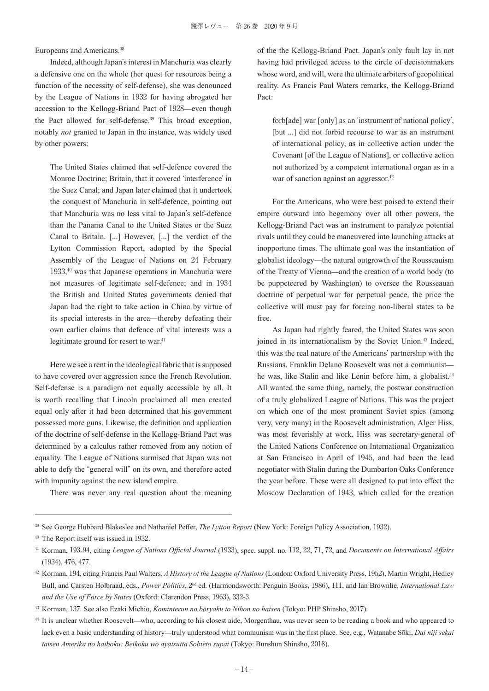Europeans and Americans.<sup>38</sup>

Indeed, although Japan's interest in Manchuria was clearly a defensive one on the whole (her quest for resources being a function of the necessity of self-defense), she was denounced by the League of Nations in 1932 for having abrogated her accession to the Kellogg-Briand Pact of 1928—even though the Pact allowed for self-defense.39 This broad exception, notably *not* granted to Japan in the instance, was widely used by other powers:

The United States claimed that self-defence covered the Monroe Doctrine; Britain, that it covered ʻinterference' in the Suez Canal; and Japan later claimed that it undertook the conquest of Manchuria in self-defence, pointing out that Manchuria was no less vital to Japan's self-defence than the Panama Canal to the United States or the Suez Canal to Britain. [...] However, [...] the verdict of the Lytton Commission Report, adopted by the Special Assembly of the League of Nations on 24 February 1933, <sup>40</sup> was that Japanese operations in Manchuria were not measures of legitimate self-defence; and in 1934 the British and United States governments denied that Japan had the right to take action in China by virtue of its special interests in the area—thereby defeating their own earlier claims that defence of vital interests was a legitimate ground for resort to war.<sup>41</sup>

Here we see a rent in the ideological fabric that is supposed to have covered over aggression since the French Revolution. Self-defense is a paradigm not equally accessible by all. It is worth recalling that Lincoln proclaimed all men created equal only after it had been determined that his government possessed more guns. Likewise, the definition and application of the doctrine of self-defense in the Kellogg-Briand Pact was determined by a calculus rather removed from any notion of equality. The League of Nations surmised that Japan was not able to defy the "general will" on its own, and therefore acted with impunity against the new island empire.

There was never any real question about the meaning

of the the Kellogg-Briand Pact. Japan's only fault lay in not having had privileged access to the circle of decisionmakers whose word, and will, were the ultimate arbiters of geopolitical reality. As Francis Paul Waters remarks, the Kellogg-Briand Pact:

forb[ade] war [only] as an ʻinstrument of national policy', [but ...] did not forbid recourse to war as an instrument of international policy, as in collective action under the Covenant [of the League of Nations], or collective action not authorized by a competent international organ as in a war of sanction against an aggressor.<sup>42</sup>

For the Americans, who were best poised to extend their empire outward into hegemony over all other powers, the Kellogg-Briand Pact was an instrument to paralyze potential rivals until they could be maneuvered into launching attacks at inopportune times. The ultimate goal was the instantiation of globalist ideology—the natural outgrowth of the Rousseauism of the Treaty of Vienna—and the creation of a world body (to be puppeteered by Washington) to oversee the Rousseauan doctrine of perpetual war for perpetual peace, the price the collective will must pay for forcing non-liberal states to be free.

As Japan had rightly feared, the United States was soon joined in its internationalism by the Soviet Union.<sup>43</sup> Indeed, this was the real nature of the Americans' partnership with the Russians. Franklin Delano Roosevelt was not a communist he was, like Stalin and like Lenin before him, a globalist.<sup>44</sup> All wanted the same thing, namely, the postwar construction of a truly globalized League of Nations. This was the project on which one of the most prominent Soviet spies (among very, very many) in the Roosevelt administration, Alger Hiss, was most feverishly at work. Hiss was secretary-general of the United Nations Conference on International Organization at San Francisco in April of 1945, and had been the lead negotiator with Stalin during the Dumbarton Oaks Conference the year before. These were all designed to put into effect the Moscow Declaration of 1943, which called for the creation

<sup>39</sup> See George Hubbard Blakeslee and Nathaniel Peffer, *The Lytton Report* (New York: Foreign Policy Association, 1932).

<sup>40</sup> The Report itself was issued in 1932.

<sup>41</sup> Korman, 193-94, citing *League of Nations Official Journal* (1933), spec. suppl. no. 112, 22, 71, 72, and *Documents on International Affairs* (1934), 476, 477.

<sup>42</sup> Korman, 194, citing Francis Paul Walters, *A History of the League of Nations* (London: Oxford University Press, 1952), Martin Wright, Hedley Bull, and Carsten Holbraad, eds., *Power Politics*, 2nd ed. (Harmondsworth: Penguin Books, 1986), 111, and Ian Brownlie, *International Law and the Use of Force by States* (Oxford: Clarendon Press, 1963), 332-3.

<sup>43</sup> Korman, 137. See also Ezaki Michio, *Kominterun no bōryaku to Nihon no haisen* (Tokyo: PHP Shinsho, 2017).

<sup>44</sup> It is unclear whether Roosevelt—who, according to his closest aide, Morgenthau, was never seen to be reading a book and who appeared to lack even a basic understanding of history—truly understood what communism was in the first place. See, e.g., Watanabe Sōki, *Dai niji sekai taisen Amerika no haiboku: Beikoku wo ayatsutta Sobieto supai* (Tokyo: Bunshun Shinsho, 2018).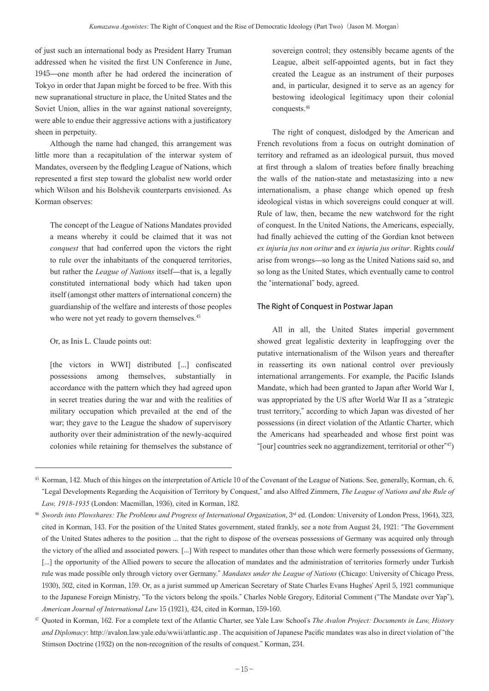of just such an international body as President Harry Truman addressed when he visited the first UN Conference in June, 1945—one month after he had ordered the incineration of Tokyo in order that Japan might be forced to be free. With this new supranational structure in place, the United States and the Soviet Union, allies in the war against national sovereignty, were able to endue their aggressive actions with a justificatory sheen in perpetuity.

Although the name had changed, this arrangement was little more than a recapitulation of the interwar system of Mandates, overseen by the fledgling League of Nations, which represented a first step toward the globalist new world order which Wilson and his Bolshevik counterparts envisioned. As Korman observes:

The concept of the League of Nations Mandates provided a means whereby it could be claimed that it was not *conquest* that had conferred upon the victors the right to rule over the inhabitants of the conquered territories, but rather the *League of Nations* itself—that is, a legally constituted international body which had taken upon itself (amongst other matters of international concern) the guardianship of the welfare and interests of those peoples who were not yet ready to govern themselves.<sup>45</sup>

#### Or, as Inis L. Claude points out:

[the victors in WWI] distributed [...] confiscated possessions among themselves, substantially in accordance with the pattern which they had agreed upon in secret treaties during the war and with the realities of military occupation which prevailed at the end of the war; they gave to the League the shadow of supervisory authority over their administration of the newly-acquired colonies while retaining for themselves the substance of sovereign control; they ostensibly became agents of the League, albeit self-appointed agents, but in fact they created the League as an instrument of their purposes and, in particular, designed it to serve as an agency for bestowing ideological legitimacy upon their colonial conquests.<sup>46</sup>

The right of conquest, dislodged by the American and French revolutions from a focus on outright domination of territory and reframed as an ideological pursuit, thus moved at first through a slalom of treaties before finally breaching the walls of the nation-state and metastasizing into a new internationalism, a phase change which opened up fresh ideological vistas in which sovereigns could conquer at will. Rule of law, then, became the new watchword for the right of conquest. In the United Nations, the Americans, especially, had finally achieved the cutting of the Gordian knot between *ex injuria jus non oritur* and *ex injuria jus oritur*. Rights *could* arise from wrongs—so long as the United Nations said so, and so long as the United States, which eventually came to control the "international" body, agreed.

#### The Right of Conquest in Postwar Japan

All in all, the United States imperial government showed great legalistic dexterity in leapfrogging over the putative internationalism of the Wilson years and thereafter in reasserting its own national control over previously international arrangements. For example, the Pacific Islands Mandate, which had been granted to Japan after World War I, was appropriated by the US after World War II as a "strategic trust territory," according to which Japan was divested of her possessions (in direct violation of the Atlantic Charter, which the Americans had spearheaded and whose first point was "[our] countries seek no aggrandizement, territorial or other" $47$ )

<sup>45</sup> Korman, 142. Much of this hinges on the interpretation of Article 10 of the Covenant of the League of Nations. See, generally, Korman, ch. 6, "Legal Developments Regarding the Acquisition of Territory by Conquest," and also Alfred Zimmern, *The League of Nations and the Rule of Law, 1918-1935* (London: Macmillan, 1936), cited in Korman, 182.

<sup>&</sup>lt;sup>46</sup> *Swords into Plowshares: The Problems and Progress of International Organization*, 3<sup>rd</sup> ed. (London: University of London Press, 1964), 323, cited in Korman, 143. For the position of the United States government, stated frankly, see a note from August 24, 1921: "The Government of the United States adheres to the position ... that the right to dispose of the overseas possessions of Germany was acquired only through the victory of the allied and associated powers. [...] With respect to mandates other than those which were formerly possessions of Germany, [...] the opportunity of the Allied powers to secure the allocation of mandates and the administration of territories formerly under Turkish rule was made possible only through victory over Germany." *Mandates under the League of Nations* (Chicago: University of Chicago Press, 1930), 502, cited in Korman, 159. Or, as a jurist summed up American Secretary of State Charles Evans Hughes' April 5, 1921 communique to the Japanese Foreign Ministry, "To the victors belong the spoils." Charles Noble Gregory, Editorial Comment ("The Mandate over Yap"), *American Journal of International Law* 15 (1921), 424, cited in Korman, 159-160.

<sup>47</sup> Quoted in Korman, 162. For a complete text of the Atlantic Charter, see Yale Law School's *The Avalon Project: Documents in Law, History and Diplomacy*: http://avalon.law.yale.edu/wwii/atlantic.asp . The acquisition of Japanese Pacific mandates was also in direct violation of "the Stimson Doctrine (1932) on the non-recognition of the results of conquest." Korman, 234.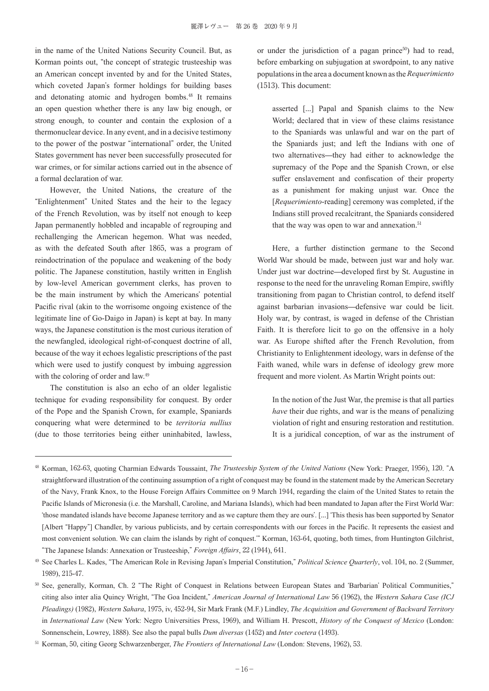in the name of the United Nations Security Council. But, as Korman points out, "the concept of strategic trusteeship was an American concept invented by and for the United States, which coveted Japan's former holdings for building bases and detonating atomic and hydrogen bombs.48 It remains an open question whether there is any law big enough, or strong enough, to counter and contain the explosion of a thermonuclear device. In any event, and in a decisive testimony to the power of the postwar "international" order, the United States government has never been successfully prosecuted for war crimes, or for similar actions carried out in the absence of a formal declaration of war.

However, the United Nations, the creature of the "Enlightenment" United States and the heir to the legacy of the French Revolution, was by itself not enough to keep Japan permanently hobbled and incapable of regrouping and rechallenging the American hegemon. What was needed, as with the defeated South after 1865, was a program of reindoctrination of the populace and weakening of the body politic. The Japanese constitution, hastily written in English by low-level American government clerks, has proven to be the main instrument by which the Americans' potential Pacific rival (akin to the worrisome ongoing existence of the legitimate line of Go-Daigo in Japan) is kept at bay. In many ways, the Japanese constitution is the most curious iteration of the newfangled, ideological right-of-conquest doctrine of all, because of the way it echoes legalistic prescriptions of the past which were used to justify conquest by imbuing aggression with the coloring of order and law.<sup>49</sup>

The constitution is also an echo of an older legalistic technique for evading responsibility for conquest. By order of the Pope and the Spanish Crown, for example, Spaniards conquering what were determined to be *territoria nullius* (due to those territories being either uninhabited, lawless,

or under the jurisdiction of a pagan prince $50$ ) had to read, before embarking on subjugation at swordpoint, to any native populations in the area a document known as the *Requerimiento* (1513). This document:

asserted [...] Papal and Spanish claims to the New World; declared that in view of these claims resistance to the Spaniards was unlawful and war on the part of the Spaniards just; and left the Indians with one of two alternatives—they had either to acknowledge the supremacy of the Pope and the Spanish Crown, or else suffer enslavement and confiscation of their property as a punishment for making unjust war. Once the [*Requerimiento-reading*] ceremony was completed, if the Indians still proved recalcitrant, the Spaniards considered that the way was open to war and annexation.<sup>51</sup>

Here, a further distinction germane to the Second World War should be made, between just war and holy war. Under just war doctrine—developed first by St. Augustine in response to the need for the unraveling Roman Empire, swiftly transitioning from pagan to Christian control, to defend itself against barbarian invasions—defensive war could be licit. Holy war, by contrast, is waged in defense of the Christian Faith. It is therefore licit to go on the offensive in a holy war. As Europe shifted after the French Revolution, from Christianity to Enlightenment ideology, wars in defense of the Faith waned, while wars in defense of ideology grew more frequent and more violent. As Martin Wright points out:

In the notion of the Just War, the premise is that all parties *have* their due rights, and war is the means of penalizing violation of right and ensuring restoration and restitution. It is a juridical conception, of war as the instrument of

<sup>49</sup> See Charles L. Kades, "The American Role in Revising Japan's Imperial Constitution," *Political Science Quarterly*, vol. 104, no. 2 (Summer, 1989), 215-47.

<sup>50</sup> See, generally, Korman, Ch. 2 "The Right of Conquest in Relations between European States and ʻBarbarian' Political Communities," citing also inter alia Quincy Wright, "The Goa Incident," *American Journal of International Law* 56 (1962), the *Western Sahara Case (ICJ Pleadings)* (1982), *Western Sahara*, 1975, iv, 452-94, Sir Mark Frank (M.F.) Lindley, *The Acquisition and Government of Backward Territory* in *International Law* (New York: Negro Universities Press, 1969), and William H. Prescott, *History of the Conquest of Mexico* (London: Sonnenschein, Lowrey, 1888). See also the papal bulls *Dum diversas* (1452) and *Inter coetera* (1493).

<sup>51</sup> Korman, 50, citing Georg Schwarzenberger, *The Frontiers of International Law* (London: Stevens, 1962), 53.

<sup>48</sup> Korman, 162-63, quoting Charmian Edwards Toussaint, *The Trusteeship System of the United Nations* (New York: Praeger, 1956), 120. "A straightforward illustration of the continuing assumption of a right of conquest may be found in the statement made by the American Secretary of the Navy, Frank Knox, to the House Foreign Affairs Committee on 9 March 1944, regarding the claim of the United States to retain the Pacific Islands of Micronesia (i.e. the Marshall, Caroline, and Mariana Islands), which had been mandated to Japan after the First World War: ʻthose mandated islands have become Japanese territory and as we capture them they are ours'. [︙] ʻThis thesis has been supported by Senator [Albert "Happy"] Chandler, by various publicists, and by certain correspondents with our forces in the Pacific. It represents the easiest and most convenient solution. We can claim the islands by right of conquest.'" Korman, 163-64, quoting, both times, from Huntington Gilchrist, "The Japanese Islands: Annexation or Trusteeship," *Foreign Affairs*, 22 (1944), 641.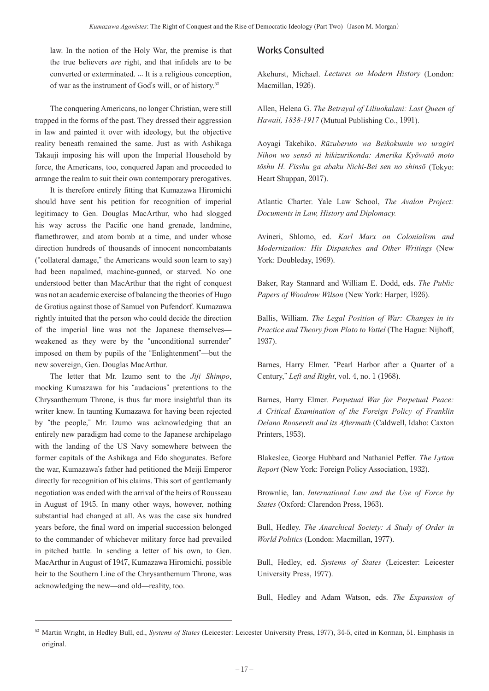law. In the notion of the Holy War, the premise is that the true believers *are* right, and that infidels are to be converted or exterminated. ... It is a religious conception, of war as the instrument of God's will, or of history.<sup>52</sup>

The conquering Americans, no longer Christian, were still trapped in the forms of the past. They dressed their aggression in law and painted it over with ideology, but the objective reality beneath remained the same. Just as with Ashikaga Takauji imposing his will upon the Imperial Household by force, the Americans, too, conquered Japan and proceeded to arrange the realm to suit their own contemporary prerogatives.

It is therefore entirely fitting that Kumazawa Hiromichi should have sent his petition for recognition of imperial legitimacy to Gen. Douglas MacArthur, who had slogged his way across the Pacific one hand grenade, landmine, flamethrower, and atom bomb at a time, and under whose direction hundreds of thousands of innocent noncombatants ("collateral damage," the Americans would soon learn to say) had been napalmed, machine-gunned, or starved. No one understood better than MacArthur that the right of conquest was not an academic exercise of balancing the theories of Hugo de Grotius against those of Samuel von Pufendorf. Kumazawa rightly intuited that the person who could decide the direction of the imperial line was not the Japanese themselves weakened as they were by the "unconditional surrender" imposed on them by pupils of the "Enlightenment"—but the new sovereign, Gen. Douglas MacArthur.

The letter that Mr. Izumo sent to the *Jiji Shimpo*, mocking Kumazawa for his "audacious" pretentions to the Chrysanthemum Throne, is thus far more insightful than its writer knew. In taunting Kumazawa for having been rejected by "the people," Mr. Izumo was acknowledging that an entirely new paradigm had come to the Japanese archipelago with the landing of the US Navy somewhere between the former capitals of the Ashikaga and Edo shogunates. Before the war, Kumazawa's father had petitioned the Meiji Emperor directly for recognition of his claims. This sort of gentlemanly negotiation was ended with the arrival of the heirs of Rousseau in August of 1945. In many other ways, however, nothing substantial had changed at all. As was the case six hundred years before, the final word on imperial succession belonged to the commander of whichever military force had prevailed in pitched battle. In sending a letter of his own, to Gen. MacArthur in August of 1947, Kumazawa Hiromichi, possible heir to the Southern Line of the Chrysanthemum Throne, was acknowledging the new—and old—reality, too.

## Works Consulted

Akehurst, Michael. *Lectures on Modern History* (London: Macmillan, 1926).

Allen, Helena G. *The Betrayal of Liliuokalani: Last Queen of Hawaii, 1838-1917* (Mutual Publishing Co., 1991).

Aoyagi Takehiko. *Rūzuberuto wa Beikokumin wo uragiri Nihon wo sensō ni hikizurikonda: Amerika Kyōwatō moto tōshu H. Fisshu ga abaku Nichi-Bei sen no shinsō* (Tokyo: Heart Shuppan, 2017).

Atlantic Charter. Yale Law School, *The Avalon Project: Documents in Law, History and Diplomacy.*

Avineri, Shlomo, ed. *Karl Marx on Colonialism and Modernization: His Dispatches and Other Writings* (New York: Doubleday, 1969).

Baker, Ray Stannard and William E. Dodd, eds. *The Public Papers of Woodrow Wilson* (New York: Harper, 1926).

Ballis, William. *The Legal Position of War: Changes in its Practice and Theory from Plato to Vattel* (The Hague: Nijhoff, 1937).

Barnes, Harry Elmer. "Pearl Harbor after a Quarter of a Century," *Left and Right*, vol. 4, no. 1 (1968).

Barnes, Harry Elmer. *Perpetual War for Perpetual Peace: A Critical Examination of the Foreign Policy of Franklin Delano Roosevelt and its Aftermath* (Caldwell, Idaho: Caxton Printers, 1953).

Blakeslee, George Hubbard and Nathaniel Peffer. *The Lytton Report* (New York: Foreign Policy Association, 1932).

Brownlie, Ian. *International Law and the Use of Force by States* (Oxford: Clarendon Press, 1963).

Bull, Hedley. *The Anarchical Society: A Study of Order in World Politics* (London: Macmillan, 1977).

Bull, Hedley, ed. *Systems of States* (Leicester: Leicester University Press, 1977).

Bull, Hedley and Adam Watson, eds. *The Expansion of* 

<sup>52</sup> Martin Wright, in Hedley Bull, ed., *Systems of States* (Leicester: Leicester University Press, 1977), 34-5, cited in Korman, 51. Emphasis in original.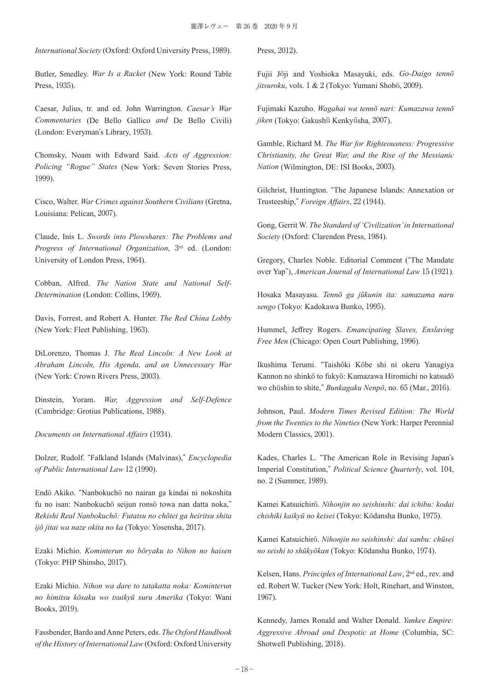*International Society* (Oxford: Oxford University Press, 1989).

Butler, Smedley. *War Is a Racket* (New York: Round Table Press, 1935).

Caesar, Julius, tr. and ed. John Warrington. *Caesar's War Commentaries* (De Bello Gallico *and* De Bello Civili) (London: Everyman's Library, 1953).

Chomsky, Noam with Edward Said. *Acts of Aggression: Policing "Rogue" States* (New York: Seven Stories Press, 1999).

Cisco, Walter. *War Crimes against Southern Civilians* (Gretna, Louisiana: Pelican, 2007).

Claude, Inis L. *Swords into Plowshares: The Problems and Progress of International Organization*, 3rd ed. (London: University of London Press, 1964).

Cobban, Alfred. *The Nation State and National Self-Determination* (London: Collins, 1969).

Davis, Forrest, and Robert A. Hunter. *The Red China Lobby* (New York: Fleet Publishing, 1963).

DiLorenzo, Thomas J. *The Real Lincoln: A New Look at Abraham Lincoln, His Agenda, and an Unnecessary War* (New York: Crown Rivers Press, 2003).

Dinstein, Yoram. *War, Aggression and Self-Defence* (Cambridge: Grotius Publications, 1988).

*Documents on International Affairs* (1934).

Dolzer, Rudolf. "Falkland Islands (Malvinas)," *Encyclopedia of Public International Law* 12 (1990).

Endō Akiko. "Nanbokuchō no nairan ga kindai ni nokoshita fu no isan: Nanbokuchō seijun ronsō towa nan datta noka," *Rekishi Real Nanbokuchō: Futatsu no chōtei ga heiritsu shita ijō jitai wa naze okita no ka* (Tokyo: Yosensha, 2017).

Ezaki Michio. *Kominterun no bōryaku to Nihon no haisen* (Tokyo: PHP Shinsho, 2017).

Ezaki Michio. *Nihon wa dare to tatakatta noka: Kominterun no himitsu kōsaku wo tsuikyū suru Amerika* (Tokyo: Wani Books, 2019).

Fassbender, Bardo and Anne Peters, eds. *The Oxford Handbook of the History of International Law* (Oxford: Oxford University

Press, 2012).

Fujii Jōji and Yoshioka Masayuki, eds. *Go-Daigo tennō jitsuroku*, vols. 1 & 2 (Tokyo: Yumani Shobō, 2009).

Fujimaki Kazuho. *Wagahai wa tennō nari: Kumazawa tennō jiken* (Tokyo: Gakushū Kenkyūsha, 2007).

Gamble, Richard M. *The War for Righteousness: Progressive Christianity, the Great War, and the Rise of the Messianic Nation* (Wilmington, DE: ISI Books, 2003).

Gilchrist, Huntington. "The Japanese Islands: Annexation or Trusteeship," *Foreign Affairs*, 22 (1944).

Gong, Gerrit W. *The Standard of 'Civilization' in International Society* (Oxford: Clarendon Press, 1984).

Gregory, Charles Noble. Editorial Comment ("The Mandate over Yap"), *American Journal of International Law* 15 (1921).

Hosaka Masayasu. *Tennō ga jūkunin ita: samazama naru sengo* (Tokyo: Kadokawa Bunko, 1995).

Hummel, Jeffrey Rogers. *Emancipating Slaves, Enslaving Free Men* (Chicago: Open Court Publishing, 1996).

Ikushima Terumi. "Taishōki Kōbe shi ni okeru Yanagiya Kannon no shinkō to fukyō: Kumazawa Hiromichi no katsudō wo chūshin to shite," *Bunkagaku Nenpō*, no. 65 (Mar., 2016).

Johnson, Paul. *Modern Times Revised Edition: The World from the Twenties to the Nineties* (New York: Harper Perennial Modern Classics, 2001).

Kades, Charles L. "The American Role in Revising Japan's Imperial Constitution," *Political Science Quarterly*, vol. 104, no. 2 (Summer, 1989).

Kamei Katsuichirō. *Nihonjin no seishinshi: dai ichibu: kodai chishiki kaikyū no keisei* (Tokyo: Kōdansha Bunko, 1975).

Kamei Katsuichirō. *Nihonjin no seishinshi: dai sanbu: chūsei no seishi to shūkyōkan* (Tokyo: Kōdansha Bunko, 1974).

Kelsen, Hans. *Principles of International Law*, 2nd ed., rev. and ed. Robert W. Tucker (New York: Holt, Rinehart, and Winston, 1967).

Kennedy, James Ronald and Walter Donald. *Yankee Empire: Aggressive Abroad and Despotic at Home* (Columbia, SC: Shotwell Publishing, 2018).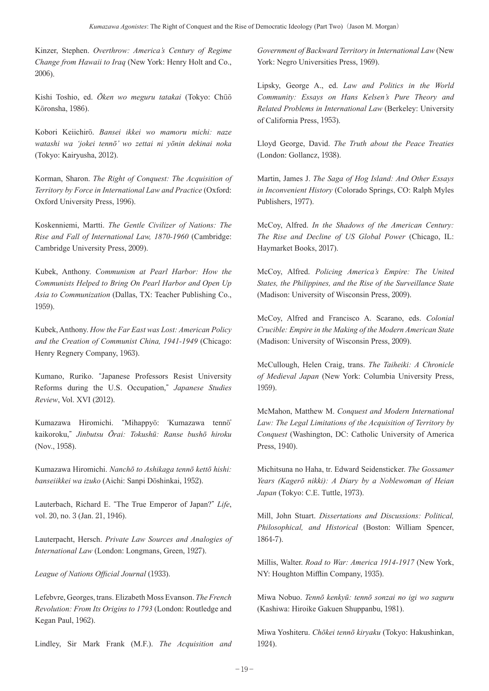Kinzer, Stephen. *Overthrow: America's Century of Regime Change from Hawaii to Iraq* (New York: Henry Holt and Co., 2006).

Kishi Toshio, ed. *Ōken wo meguru tatakai* (Tokyo: Chūō Kōronsha, 1986).

Kobori Keiichirō. *Bansei ikkei wo mamoru michi: naze watashi wa 'jokei tennō' wo zettai ni yōnin dekinai noka* (Tokyo: Kairyusha, 2012).

Korman, Sharon. *The Right of Conquest: The Acquisition of Territory by Force in International Law and Practice* (Oxford: Oxford University Press, 1996).

Koskenniemi, Martti. *The Gentle Civilizer of Nations: The Rise and Fall of International Law, 1870-1960* (Cambridge: Cambridge University Press, 2009).

Kubek, Anthony. *Communism at Pearl Harbor: How the Communists Helped to Bring On Pearl Harbor and Open Up Asia to Communization* (Dallas, TX: Teacher Publishing Co., 1959).

Kubek, Anthony. *How the Far East was Lost: American Policy and the Creation of Communist China, 1941-1949* (Chicago: Henry Regnery Company, 1963).

Kumano, Ruriko. "Japanese Professors Resist University Reforms during the U.S. Occupation," *Japanese Studies Review*, Vol. XVI (2012).

Kumazawa Hiromichi. "Mihappyō: ʻKumazawa tennō' kaikoroku," *Jinbutsu Ōrai: Tokushū: Ranse bushō hiroku* (Nov., 1958).

Kumazawa Hiromichi. *Nanchō to Ashikaga tennō kettō hishi: banseiikkei wa izuko* (Aichi: Sanpi Dōshinkai, 1952).

Lauterbach, Richard E. "The True Emperor of Japan?" *Life*, vol. 20, no. 3 (Jan. 21, 1946).

Lauterpacht, Hersch. *Private Law Sources and Analogies of International Law* (London: Longmans, Green, 1927).

*League of Nations Official Journal* (1933).

Lefebvre, Georges, trans. Elizabeth Moss Evanson. *The French Revolution: From Its Origins to 1793* (London: Routledge and Kegan Paul, 1962).

Lindley, Sir Mark Frank (M.F.). *The Acquisition and* 

*Government of Backward Territory in International Law* (New York: Negro Universities Press, 1969).

Lipsky, George A., ed. *Law and Politics in the World Community: Essays on Hans Kelsen's Pure Theory and Related Problems in International Law* (Berkeley: University of California Press, 1953).

Lloyd George, David. *The Truth about the Peace Treaties* (London: Gollancz, 1938).

Martin, James J. *The Saga of Hog Island: And Other Essays in Inconvenient History* (Colorado Springs, CO: Ralph Myles Publishers, 1977).

McCoy, Alfred. *In the Shadows of the American Century: The Rise and Decline of US Global Power* (Chicago, IL: Haymarket Books, 2017).

McCoy, Alfred. *Policing America's Empire: The United States, the Philippines, and the Rise of the Surveillance State* (Madison: University of Wisconsin Press, 2009).

McCoy, Alfred and Francisco A. Scarano, eds. *Colonial Crucible: Empire in the Making of the Modern American State* (Madison: University of Wisconsin Press, 2009).

McCullough, Helen Craig, trans. *The Taiheiki: A Chronicle of Medieval Japan* (New York: Columbia University Press, 1959).

McMahon, Matthew M. *Conquest and Modern International Law: The Legal Limitations of the Acquisition of Territory by Conquest* (Washington, DC: Catholic University of America Press, 1940).

Michitsuna no Haha, tr. Edward Seidensticker. *The Gossamer Years (Kagerō nikki): A Diary by a Noblewoman of Heian Japan* (Tokyo: C.E. Tuttle, 1973).

Mill, John Stuart. *Dissertations and Discussions: Political, Philosophical, and Historical* (Boston: William Spencer, 1864-7).

Millis, Walter. *Road to War: America 1914-1917* (New York, NY: Houghton Mifflin Company, 1935).

Miwa Nobuo. *Tennō kenkyū: tennō sonzai no igi wo saguru* (Kashiwa: Hiroike Gakuen Shuppanbu, 1981).

Miwa Yoshiteru. *Chōkei tennō kiryaku* (Tokyo: Hakushinkan, 1924).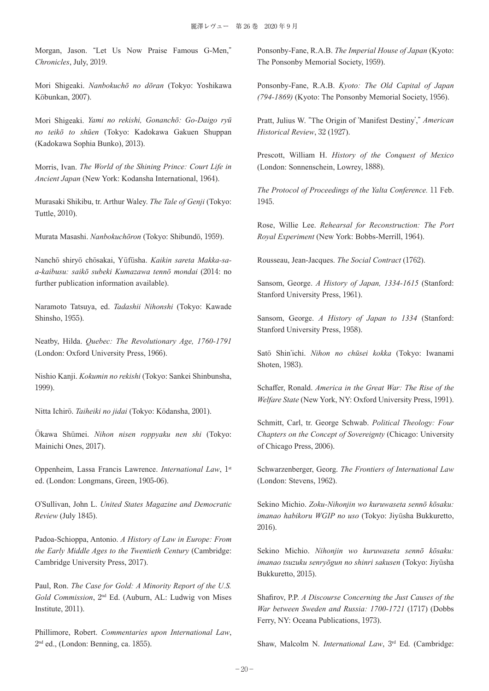Morgan, Jason. "Let Us Now Praise Famous G-Men," *Chronicles*, July, 2019.

Mori Shigeaki. *Nanbokuchō no dōran* (Tokyo: Yoshikawa Kōbunkan, 2007).

Mori Shigeaki. *Yami no rekishi, Gonanchō: Go-Daigo ryū no teikō to shūen* (Tokyo: Kadokawa Gakuen Shuppan (Kadokawa Sophia Bunko), 2013).

Morris, Ivan. *The World of the Shining Prince: Court Life in Ancient Japan* (New York: Kodansha International, 1964).

Murasaki Shikibu, tr. Arthur Waley. *The Tale of Genji* (Tokyo: Tuttle, 2010).

Murata Masashi. *Nanbokuchōron* (Tokyo: Shibundō, 1959).

Nanchō shiryō chōsakai, Yūfūsha. *Kaikin sareta Makka-saa-kaibusu: saikō subeki Kumazawa tennō mondai* (2014: no further publication information available).

Naramoto Tatsuya, ed. *Tadashii Nihonshi* (Tokyo: Kawade Shinsho, 1955).

Neatby, Hilda. *Quebec: The Revolutionary Age, 1760-1791* (London: Oxford University Press, 1966).

Nishio Kanji. *Kokumin no rekishi* (Tokyo: Sankei Shinbunsha, 1999).

Nitta Ichirō. *Taiheiki no jidai* (Tokyo: Kōdansha, 2001).

Ōkawa Shūmei. *Nihon nisen roppyaku nen shi* (Tokyo: Mainichi Ones, 2017).

Oppenheim, Lassa Francis Lawrence. *International Law*, 1st ed. (London: Longmans, Green, 1905-06).

O'Sullivan, John L. *United States Magazine and Democratic Review* (July 1845).

Padoa-Schioppa, Antonio. *A History of Law in Europe: From the Early Middle Ages to the Twentieth Century* (Cambridge: Cambridge University Press, 2017).

Paul, Ron. *The Case for Gold: A Minority Report of the U.S. Gold Commission*, 2nd Ed. (Auburn, AL: Ludwig von Mises Institute, 2011).

Phillimore, Robert. *Commentaries upon International Law*, 2<sup>nd</sup> ed., (London: Benning, ca. 1855).

Ponsonby-Fane, R.A.B. *The Imperial House of Japan* (Kyoto: The Ponsonby Memorial Society, 1959).

Ponsonby-Fane, R.A.B. *Kyoto: The Old Capital of Japan (794-1869)* (Kyoto: The Ponsonby Memorial Society, 1956).

Pratt, Julius W. "The Origin of ʻManifest Destiny'," *American Historical Review*, 32 (1927).

Prescott, William H. *History of the Conquest of Mexico* (London: Sonnenschein, Lowrey, 1888).

*The Protocol of Proceedings of the Yalta Conference.* 11 Feb. 1945.

Rose, Willie Lee. *Rehearsal for Reconstruction: The Port Royal Experiment* (New York: Bobbs-Merrill, 1964).

Rousseau, Jean-Jacques. *The Social Contract* (1762).

Sansom, George. *A History of Japan, 1334-1615* (Stanford: Stanford University Press, 1961).

Sansom, George. *A History of Japan to 1334* (Stanford: Stanford University Press, 1958).

Satō Shin'ichi. *Nihon no chūsei kokka* (Tokyo: Iwanami Shoten, 1983).

Schaffer, Ronald. *America in the Great War: The Rise of the Welfare State* (New York, NY: Oxford University Press, 1991).

Schmitt, Carl, tr. George Schwab. *Political Theology: Four Chapters on the Concept of Sovereignty* (Chicago: University of Chicago Press, 2006).

Schwarzenberger, Georg. *The Frontiers of International Law* (London: Stevens, 1962).

Sekino Michio. *Zoku-Nihonjin wo kuruwaseta sennō kōsaku: imanao habikoru WGIP no uso* (Tokyo: Jiyūsha Bukkuretto, 2016).

Sekino Michio. *Nihonjin wo kuruwaseta sennō kōsaku: imanao tsuzuku senryōgun no shinri sakusen* (Tokyo: Jiyūsha Bukkuretto, 2015).

Shafirov, P.P. *A Discourse Concerning the Just Causes of the War between Sweden and Russia: 1700-1721* (1717) (Dobbs Ferry, NY: Oceana Publications, 1973).

Shaw, Malcolm N. *International Law*, 3<sup>rd</sup> Ed. (Cambridge: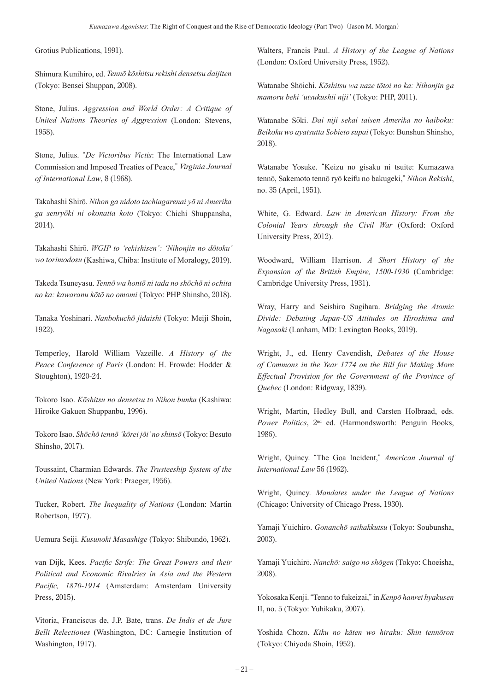Grotius Publications, 1991).

Shimura Kunihiro, ed. *Tennō kōshitsu rekishi densetsu daijiten* (Tokyo: Bensei Shuppan, 2008).

Stone, Julius. *Aggression and World Order: A Critique of United Nations Theories of Aggression* (London: Stevens, 1958).

Stone, Julius. "*De Victoribus Victis*: The International Law Commission and Imposed Treaties of Peace," *Virginia Journal of International Law*, 8 (1968).

Takahashi Shirō. *Nihon ga nidoto tachiagarenai yō ni Amerika ga senryōki ni okonatta koto* (Tokyo: Chichi Shuppansha, 2014).

Takahashi Shirō. *WGIP to 'rekishisen': 'Nihonjin no dōtoku' wo torimodosu* (Kashiwa, Chiba: Institute of Moralogy, 2019).

Takeda Tsuneyasu. *Tennō wa hontō ni tada no shōchō ni ochita no ka: kawaranu kōtō no omomi* (Tokyo: PHP Shinsho, 2018).

Tanaka Yoshinari. *Nanbokuchō jidaishi* (Tokyo: Meiji Shoin, 1922).

Temperley, Harold William Vazeille. *A History of the Peace Conference of Paris* (London: H. Frowde: Hodder & Stoughton), 1920-24.

Tokoro Isao. *Kōshitsu no densetsu to Nihon bunka* (Kashiwa: Hiroike Gakuen Shuppanbu, 1996).

Tokoro Isao. *Shōchō tennō 'kōrei jōi' no shinsō* (Tokyo: Besuto Shinsho, 2017).

Toussaint, Charmian Edwards. *The Trusteeship System of the United Nations* (New York: Praeger, 1956).

Tucker, Robert. *The Inequality of Nations* (London: Martin Robertson, 1977).

Uemura Seiji. *Kusunoki Masashige* (Tokyo: Shibundō, 1962).

van Dijk, Kees. *Pacific Strife: The Great Powers and their Political and Economic Rivalries in Asia and the Western Pacific, 1870-1914* (Amsterdam: Amsterdam University Press, 2015).

Vitoria, Franciscus de, J.P. Bate, trans. *De Indis et de Jure Belli Relectiones* (Washington, DC: Carnegie Institution of Washington, 1917).

Walters, Francis Paul. *A History of the League of Nations* (London: Oxford University Press, 1952).

Watanabe Shōichi. *Kōshitsu wa naze tōtoi no ka: Nihonjin ga mamoru beki 'utsukushii niji'* (Tokyo: PHP, 2011).

Watanabe Sōki. *Dai niji sekai taisen Amerika no haiboku: Beikoku wo ayatsutta Sobieto supai* (Tokyo: Bunshun Shinsho, 2018).

Watanabe Yosuke. "Keizu no gisaku ni tsuite: Kumazawa tennō, Sakemoto tennō ryō keifu no bakugeki," *Nihon Rekishi*, no. 35 (April, 1951).

White, G. Edward. *Law in American History: From the Colonial Years through the Civil War* (Oxford: Oxford University Press, 2012).

Woodward, William Harrison. *A Short History of the Expansion of the British Empire, 1500-1930* (Cambridge: Cambridge University Press, 1931).

Wray, Harry and Seishiro Sugihara. *Bridging the Atomic Divide: Debating Japan-US Attitudes on Hiroshima and Nagasaki* (Lanham, MD: Lexington Books, 2019).

Wright, J., ed. Henry Cavendish, *Debates of the House of Commons in the Year 1774 on the Bill for Making More Effectual Provision for the Government of the Province of Quebec* (London: Ridgway, 1839).

Wright, Martin, Hedley Bull, and Carsten Holbraad, eds. *Power Politics*, 2nd ed. (Harmondsworth: Penguin Books, 1986).

Wright, Quincy. "The Goa Incident," *American Journal of International Law* 56 (1962).

Wright, Quincy. *Mandates under the League of Nations* (Chicago: University of Chicago Press, 1930).

Yamaji Yūichirō. *Gonanchō saihakkutsu* (Tokyo: Soubunsha, 2003).

Yamaji Yūichirō. *Nanchō: saigo no shōgen* (Tokyo: Choeisha, 2008).

Yokosaka Kenji. "Tennō to fukeizai," in *Kenpō hanrei hyakusen* II, no. 5 (Tokyo: Yuhikaku, 2007).

Yoshida Chōzō. *Kiku no kāten wo hiraku: Shin tennōron* (Tokyo: Chiyoda Shoin, 1952).